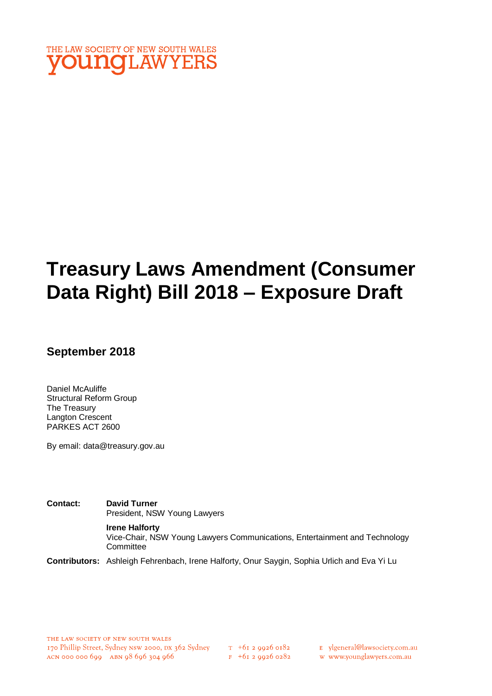

# **Treasury Laws Amendment (Consumer Data Right) Bill 2018 – Exposure Draft**

**September 2018** 

Daniel McAuliffe Structural Reform Group The Treasury Langton Crescent PARKES ACT 2600

By email: data@treasury.gov.au

**Contact: David Turner**  President, NSW Young Lawyers **Irene Halforty** Vice-Chair, NSW Young Lawyers Communications, Entertainment and Technology **Committee** 

**Contributors:** Ashleigh Fehrenbach, Irene Halforty, Onur Saygin, Sophia Urlich and Eva Yi Lu

 $F + 6I$  2 9926 0282

E ylgeneral@lawsociety.com.au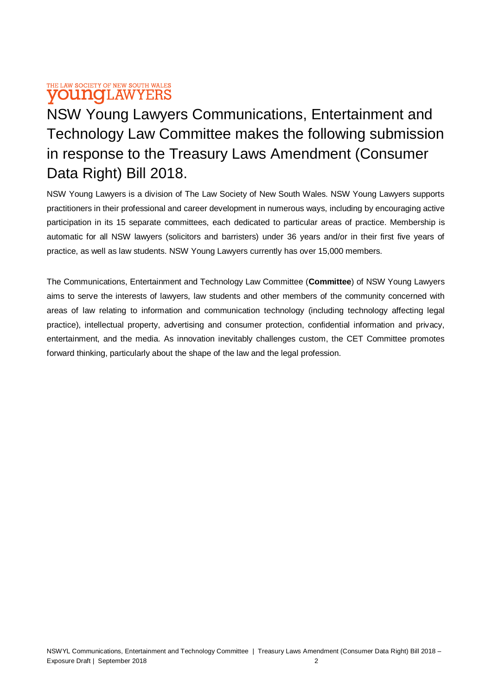### THE LAW SOCIETY OF NEW SOUTH WALES **VOUNGLAWYERS**

NSW Young Lawyers Communications, Entertainment and Technology Law Committee makes the following submission in response to the Treasury Laws Amendment (Consumer Data Right) Bill 2018.

NSW Young Lawyers is a division of The Law Society of New South Wales. NSW Young Lawyers supports practitioners in their professional and career development in numerous ways, including by encouraging active participation in its 15 separate committees, each dedicated to particular areas of practice. Membership is automatic for all NSW lawyers (solicitors and barristers) under 36 years and/or in their first five years of practice, as well as law students. NSW Young Lawyers currently has over 15,000 members.

The Communications, Entertainment and Technology Law Committee (**Committee**) of NSW Young Lawyers aims to serve the interests of lawyers, law students and other members of the community concerned with areas of law relating to information and communication technology (including technology affecting legal practice), intellectual property, advertising and consumer protection, confidential information and privacy, entertainment, and the media. As innovation inevitably challenges custom, the CET Committee promotes forward thinking, particularly about the shape of the law and the legal profession.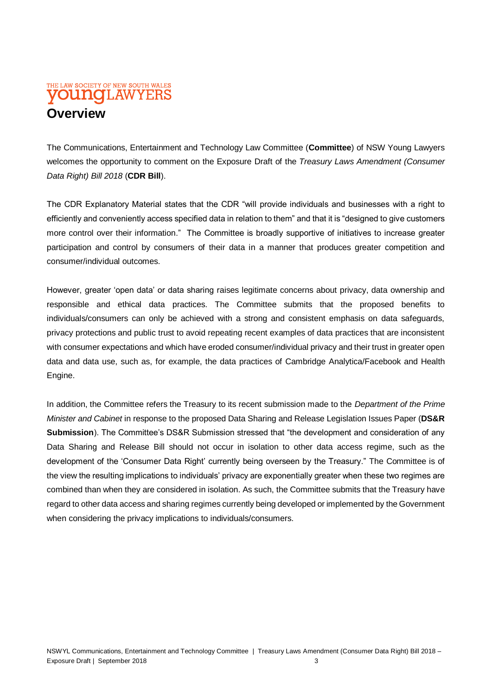## THE LAW SOCIETY OF NEW SOUTH WALES **VOUNCLAWYERS Overview**

The Communications, Entertainment and Technology Law Committee (**Committee**) of NSW Young Lawyers welcomes the opportunity to comment on the Exposure Draft of the *Treasury Laws Amendment (Consumer Data Right) Bill 2018* (**CDR Bill**).

The CDR Explanatory Material states that the CDR "will provide individuals and businesses with a right to efficiently and conveniently access specified data in relation to them" and that it is "designed to give customers more control over their information." The Committee is broadly supportive of initiatives to increase greater participation and control by consumers of their data in a manner that produces greater competition and consumer/individual outcomes.

However, greater 'open data' or data sharing raises legitimate concerns about privacy, data ownership and responsible and ethical data practices. The Committee submits that the proposed benefits to individuals/consumers can only be achieved with a strong and consistent emphasis on data safeguards, privacy protections and public trust to avoid repeating recent examples of data practices that are inconsistent with consumer expectations and which have eroded consumer/individual privacy and their trust in greater open data and data use, such as, for example, the data practices of Cambridge Analytica/Facebook and Health Engine.

In addition, the Committee refers the Treasury to its recent submission made to the *Department of the Prime Minister and Cabinet* in response to the proposed Data Sharing and Release Legislation Issues Paper (**DS&R Submission**). The Committee's DS&R Submission stressed that "the development and consideration of any Data Sharing and Release Bill should not occur in isolation to other data access regime, such as the development of the 'Consumer Data Right' currently being overseen by the Treasury." The Committee is of the view the resulting implications to individuals' privacy are exponentially greater when these two regimes are combined than when they are considered in isolation. As such, the Committee submits that the Treasury have regard to other data access and sharing regimes currently being developed or implemented by the Government when considering the privacy implications to individuals/consumers.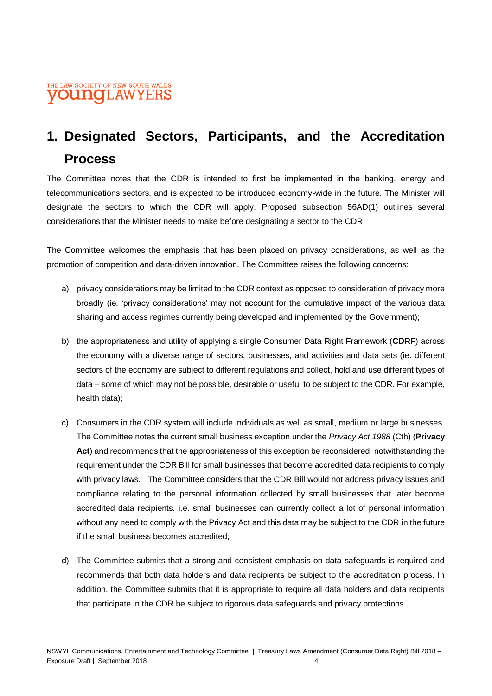## **1. Designated Sectors, Participants, and the Accreditation Process**

The Committee notes that the CDR is intended to first be implemented in the banking, energy and telecommunications sectors, and is expected to be introduced economy-wide in the future. The Minister will designate the sectors to which the CDR will apply. Proposed subsection 56AD(1) outlines several considerations that the Minister needs to make before designating a sector to the CDR.

The Committee welcomes the emphasis that has been placed on privacy considerations, as well as the promotion of competition and data-driven innovation. The Committee raises the following concerns:

- a) privacy considerations may be limited to the CDR context as opposed to consideration of privacy more broadly (ie. 'privacy considerations' may not account for the cumulative impact of the various data sharing and access regimes currently being developed and implemented by the Government);
- b) the appropriateness and utility of applying a single Consumer Data Right Framework (**CDRF**) across the economy with a diverse range of sectors, businesses, and activities and data sets (ie. different sectors of the economy are subject to different regulations and collect, hold and use different types of data – some of which may not be possible, desirable or useful to be subject to the CDR. For example, health data);
- c) Consumers in the CDR system will include individuals as well as small, medium or large businesses. The Committee notes the current small business exception under the *Privacy Act 1988* (Cth) (**Privacy Act**) and recommends that the appropriateness of this exception be reconsidered, notwithstanding the requirement under the CDR Bill for small businesses that become accredited data recipients to comply with privacy laws. The Committee considers that the CDR Bill would not address privacy issues and compliance relating to the personal information collected by small businesses that later become accredited data recipients. i.e. small businesses can currently collect a lot of personal information without any need to comply with the Privacy Act and this data may be subject to the CDR in the future if the small business becomes accredited;
- d) The Committee submits that a strong and consistent emphasis on data safeguards is required and recommends that both data holders and data recipients be subject to the accreditation process. In addition, the Committee submits that it is appropriate to require all data holders and data recipients that participate in the CDR be subject to rigorous data safeguards and privacy protections.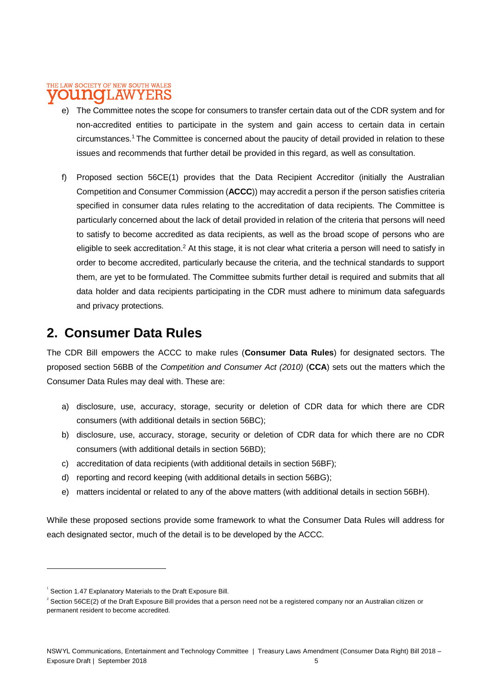#### THE LAW SOCIETY OF NEW SOUTH WALES LAWYERS **TATO**

- e) The Committee notes the scope for consumers to transfer certain data out of the CDR system and for non-accredited entities to participate in the system and gain access to certain data in certain circumstances.<sup>1</sup> The Committee is concerned about the paucity of detail provided in relation to these issues and recommends that further detail be provided in this regard, as well as consultation.
- f) Proposed section 56CE(1) provides that the Data Recipient Accreditor (initially the Australian Competition and Consumer Commission (**ACCC**)) may accredit a person if the person satisfies criteria specified in consumer data rules relating to the accreditation of data recipients. The Committee is particularly concerned about the lack of detail provided in relation of the criteria that persons will need to satisfy to become accredited as data recipients, as well as the broad scope of persons who are eligible to seek accreditation.<sup>2</sup> At this stage, it is not clear what criteria a person will need to satisfy in order to become accredited, particularly because the criteria, and the technical standards to support them, are yet to be formulated. The Committee submits further detail is required and submits that all data holder and data recipients participating in the CDR must adhere to minimum data safeguards and privacy protections.

## **2. Consumer Data Rules**

The CDR Bill empowers the ACCC to make rules (**Consumer Data Rules**) for designated sectors. The proposed section 56BB of the *Competition and Consumer Act (2010)* (**CCA**) sets out the matters which the Consumer Data Rules may deal with. These are:

- a) disclosure, use, accuracy, storage, security or deletion of CDR data for which there are CDR consumers (with additional details in section 56BC);
- b) disclosure, use, accuracy, storage, security or deletion of CDR data for which there are no CDR consumers (with additional details in section 56BD);
- c) accreditation of data recipients (with additional details in section 56BF);
- d) reporting and record keeping (with additional details in section 56BG);
- e) matters incidental or related to any of the above matters (with additional details in section 56BH).

While these proposed sections provide some framework to what the Consumer Data Rules will address for each designated sector, much of the detail is to be developed by the ACCC.

 $1$  Section 1.47 Explanatory Materials to the Draft Exposure Bill.

 $^2$  Section 56CE(2) of the Draft Exposure Bill provides that a person need not be a registered company nor an Australian citizen or permanent resident to become accredited.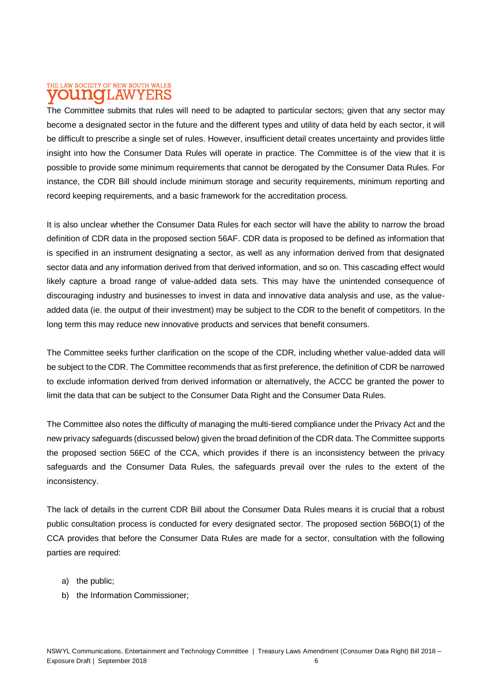#### THE LAW SOCIETY OF NEW SOUTH WALES T.AW DITTIO YERS

The Committee submits that rules will need to be adapted to particular sectors; given that any sector may become a designated sector in the future and the different types and utility of data held by each sector, it will be difficult to prescribe a single set of rules. However, insufficient detail creates uncertainty and provides little insight into how the Consumer Data Rules will operate in practice. The Committee is of the view that it is possible to provide some minimum requirements that cannot be derogated by the Consumer Data Rules. For instance, the CDR Bill should include minimum storage and security requirements, minimum reporting and record keeping requirements, and a basic framework for the accreditation process.

It is also unclear whether the Consumer Data Rules for each sector will have the ability to narrow the broad definition of CDR data in the proposed section 56AF. CDR data is proposed to be defined as information that is specified in an instrument designating a sector, as well as any information derived from that designated sector data and any information derived from that derived information, and so on. This cascading effect would likely capture a broad range of value-added data sets. This may have the unintended consequence of discouraging industry and businesses to invest in data and innovative data analysis and use, as the valueadded data (ie. the output of their investment) may be subject to the CDR to the benefit of competitors. In the long term this may reduce new innovative products and services that benefit consumers.

The Committee seeks further clarification on the scope of the CDR, including whether value-added data will be subject to the CDR. The Committee recommends that as first preference, the definition of CDR be narrowed to exclude information derived from derived information or alternatively, the ACCC be granted the power to limit the data that can be subject to the Consumer Data Right and the Consumer Data Rules.

The Committee also notes the difficulty of managing the multi-tiered compliance under the Privacy Act and the new privacy safeguards (discussed below) given the broad definition of the CDR data. The Committee supports the proposed section 56EC of the CCA, which provides if there is an inconsistency between the privacy safeguards and the Consumer Data Rules, the safeguards prevail over the rules to the extent of the inconsistency.

The lack of details in the current CDR Bill about the Consumer Data Rules means it is crucial that a robust public consultation process is conducted for every designated sector. The proposed section 56BO(1) of the CCA provides that before the Consumer Data Rules are made for a sector, consultation with the following parties are required:

- a) the public;
- b) the Information Commissioner;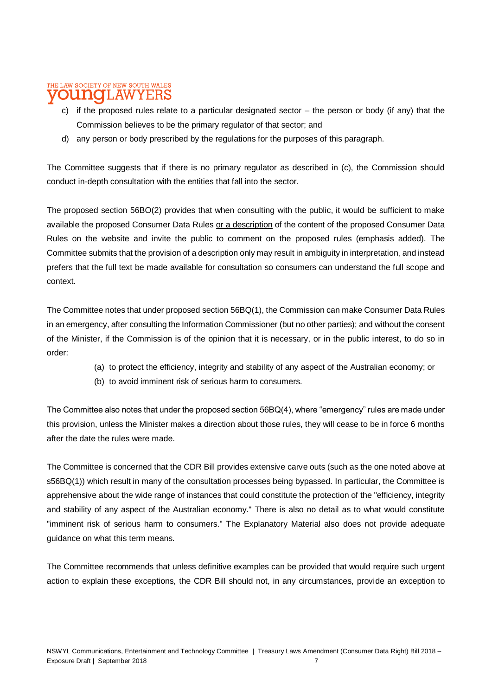### THE LAW SOCIETY OF NEW SOUTH WALES LAWYERS

- c) if the proposed rules relate to a particular designated sector  $-$  the person or body (if any) that the Commission believes to be the primary regulator of that sector; and
- d) any person or body prescribed by the regulations for the purposes of this paragraph.

The Committee suggests that if there is no primary regulator as described in (c), the Commission should conduct in-depth consultation with the entities that fall into the sector.

The proposed section 56BO(2) provides that when consulting with the public, it would be sufficient to make available the proposed Consumer Data Rules or a description of the content of the proposed Consumer Data Rules on the website and invite the public to comment on the proposed rules (emphasis added). The Committee submits that the provision of a description only may result in ambiguity in interpretation, and instead prefers that the full text be made available for consultation so consumers can understand the full scope and context.

The Committee notes that under proposed section 56BQ(1), the Commission can make Consumer Data Rules in an emergency, after consulting the Information Commissioner (but no other parties); and without the consent of the Minister, if the Commission is of the opinion that it is necessary, or in the public interest, to do so in order:

- (a) to protect the efficiency, integrity and stability of any aspect of the Australian economy; or
- (b) to avoid imminent risk of serious harm to consumers.

The Committee also notes that under the proposed section 56BQ(4), where "emergency" rules are made under this provision, unless the Minister makes a direction about those rules, they will cease to be in force 6 months after the date the rules were made.

The Committee is concerned that the CDR Bill provides extensive carve outs (such as the one noted above at s56BQ(1)) which result in many of the consultation processes being bypassed. In particular, the Committee is apprehensive about the wide range of instances that could constitute the protection of the "efficiency, integrity and stability of any aspect of the Australian economy." There is also no detail as to what would constitute "imminent risk of serious harm to consumers." The Explanatory Material also does not provide adequate guidance on what this term means.

The Committee recommends that unless definitive examples can be provided that would require such urgent action to explain these exceptions, the CDR Bill should not, in any circumstances, provide an exception to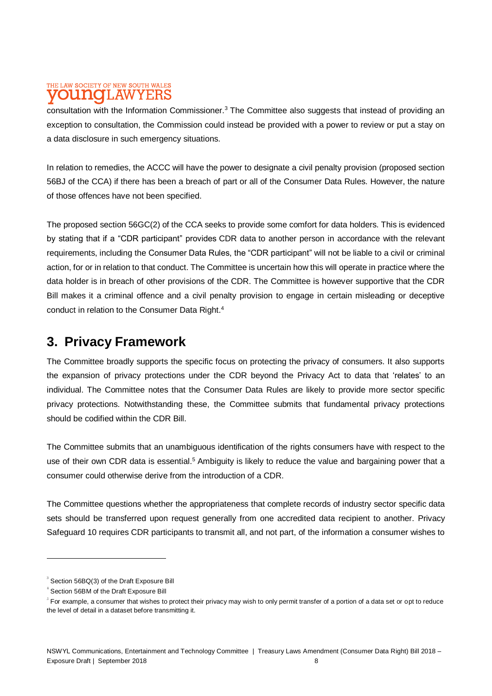#### THE LAW SOCIETY OF NEW SOUTH WALES **LAW** ITI 10 YERS

consultation with the Information Commissioner.<sup>3</sup> The Committee also suggests that instead of providing an exception to consultation, the Commission could instead be provided with a power to review or put a stay on a data disclosure in such emergency situations.

In relation to remedies, the ACCC will have the power to designate a civil penalty provision (proposed section 56BJ of the CCA) if there has been a breach of part or all of the Consumer Data Rules. However, the nature of those offences have not been specified.

The proposed section 56GC(2) of the CCA seeks to provide some comfort for data holders. This is evidenced by stating that if a "CDR participant" provides CDR data to another person in accordance with the relevant requirements, including the Consumer Data Rules, the "CDR participant" will not be liable to a civil or criminal action, for or in relation to that conduct. The Committee is uncertain how this will operate in practice where the data holder is in breach of other provisions of the CDR. The Committee is however supportive that the CDR Bill makes it a criminal offence and a civil penalty provision to engage in certain misleading or deceptive conduct in relation to the Consumer Data Right.<sup>4</sup>

## **3. Privacy Framework**

The Committee broadly supports the specific focus on protecting the privacy of consumers. It also supports the expansion of privacy protections under the CDR beyond the Privacy Act to data that 'relates' to an individual. The Committee notes that the Consumer Data Rules are likely to provide more sector specific privacy protections. Notwithstanding these, the Committee submits that fundamental privacy protections should be codified within the CDR Bill.

The Committee submits that an unambiguous identification of the rights consumers have with respect to the use of their own CDR data is essential.<sup>5</sup> Ambiguity is likely to reduce the value and bargaining power that a consumer could otherwise derive from the introduction of a CDR.

The Committee questions whether the appropriateness that complete records of industry sector specific data sets should be transferred upon request generally from one accredited data recipient to another. Privacy Safeguard 10 requires CDR participants to transmit all, and not part, of the information a consumer wishes to

 $^3$  Section 56BQ(3) of the Draft Exposure Bill

<sup>4</sup> Section 56BM of the Draft Exposure Bill

 $^5$  For example, a consumer that wishes to protect their privacy may wish to only permit transfer of a portion of a data set or opt to reduce the level of detail in a dataset before transmitting it.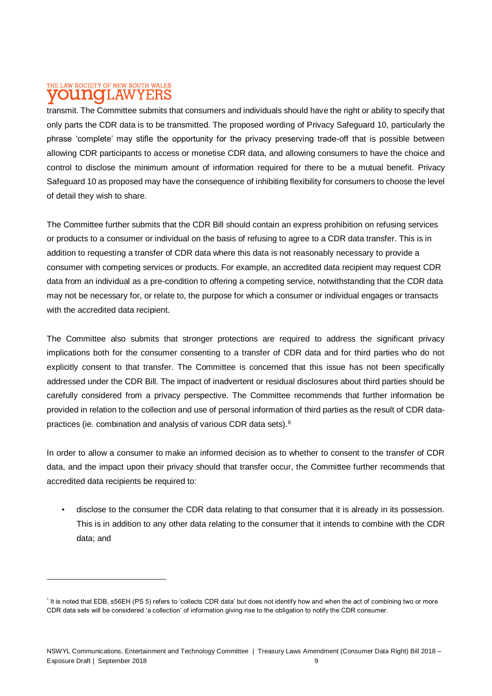#### THE LAW SOCIETY OF NEW SOUTH WALES **T.AW** mate **YEBS**

 $\overline{a}$ 

transmit. The Committee submits that consumers and individuals should have the right or ability to specify that only parts the CDR data is to be transmitted. The proposed wording of Privacy Safeguard 10, particularly the phrase 'complete' may stifle the opportunity for the privacy preserving trade-off that is possible between allowing CDR participants to access or monetise CDR data, and allowing consumers to have the choice and control to disclose the minimum amount of information required for there to be a mutual benefit. Privacy Safeguard 10 as proposed may have the consequence of inhibiting flexibility for consumers to choose the level of detail they wish to share.

The Committee further submits that the CDR Bill should contain an express prohibition on refusing services or products to a consumer or individual on the basis of refusing to agree to a CDR data transfer. This is in addition to requesting a transfer of CDR data where this data is not reasonably necessary to provide a consumer with competing services or products. For example, an accredited data recipient may request CDR data from an individual as a pre-condition to offering a competing service, notwithstanding that the CDR data may not be necessary for, or relate to, the purpose for which a consumer or individual engages or transacts with the accredited data recipient.

The Committee also submits that stronger protections are required to address the significant privacy implications both for the consumer consenting to a transfer of CDR data and for third parties who do not explicitly consent to that transfer. The Committee is concerned that this issue has not been specifically addressed under the CDR Bill. The impact of inadvertent or residual disclosures about third parties should be carefully considered from a privacy perspective. The Committee recommends that further information be provided in relation to the collection and use of personal information of third parties as the result of CDR datapractices (ie. combination and analysis of various CDR data sets).<sup>6</sup>

In order to allow a consumer to make an informed decision as to whether to consent to the transfer of CDR data, and the impact upon their privacy should that transfer occur, the Committee further recommends that accredited data recipients be required to:

disclose to the consumer the CDR data relating to that consumer that it is already in its possession. This is in addition to any other data relating to the consumer that it intends to combine with the CDR data; and

 $^6$  It is noted that EDB, s56EH (PS 5) refers to 'collects CDR data' but does not identify how and when the act of combining two or more CDR data sets will be considered 'a collection' of information giving rise to the obligation to notify the CDR consumer.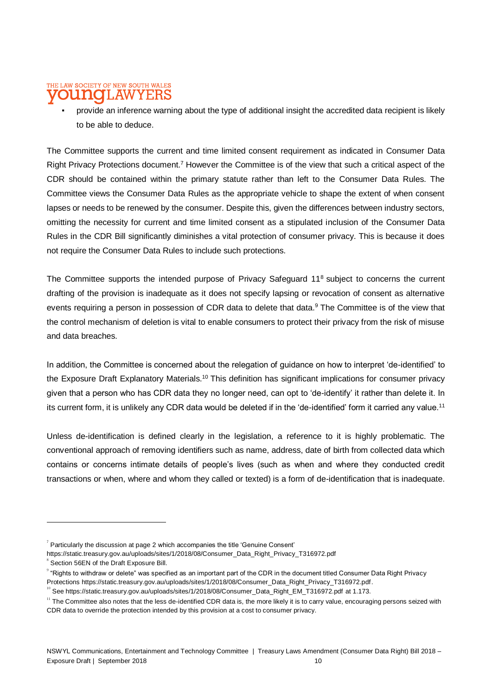### THE LAW SOCIETY OF NEW SOUTH WALES I.AW

provide an inference warning about the type of additional insight the accredited data recipient is likely to be able to deduce.

The Committee supports the current and time limited consent requirement as indicated in Consumer Data Right Privacy Protections document.<sup>7</sup> However the Committee is of the view that such a critical aspect of the CDR should be contained within the primary statute rather than left to the Consumer Data Rules. The Committee views the Consumer Data Rules as the appropriate vehicle to shape the extent of when consent lapses or needs to be renewed by the consumer. Despite this, given the differences between industry sectors, omitting the necessity for current and time limited consent as a stipulated inclusion of the Consumer Data Rules in the CDR Bill significantly diminishes a vital protection of consumer privacy. This is because it does not require the Consumer Data Rules to include such protections.

The Committee supports the intended purpose of Privacy Safeguard 11<sup>8</sup> subject to concerns the current drafting of the provision is inadequate as it does not specify lapsing or revocation of consent as alternative events requiring a person in possession of CDR data to delete that data.<sup>9</sup> The Committee is of the view that the control mechanism of deletion is vital to enable consumers to protect their privacy from the risk of misuse and data breaches.

In addition, the Committee is concerned about the relegation of guidance on how to interpret 'de-identified' to the Exposure Draft Explanatory Materials.<sup>10</sup> This definition has significant implications for consumer privacy given that a person who has CDR data they no longer need, can opt to 'de-identify' it rather than delete it. In its current form, it is unlikely any CDR data would be deleted if in the 'de-identified' form it carried any value.<sup>11</sup>

Unless de-identification is defined clearly in the legislation, a reference to it is highly problematic. The conventional approach of removing identifiers such as name, address, date of birth from collected data which contains or concerns intimate details of people's lives (such as when and where they conducted credit transactions or when, where and whom they called or texted) is a form of de-identification that is inadequate.

 $\sigma$  Particularly the discussion at page 2 which accompanies the title 'Genuine Consent'

[https://static.treasury.gov.au/uploads/sites/1/2018/08/Consumer\\_Data\\_Right\\_Privacy\\_T316972.pdf](https://static.treasury.gov.au/uploads/sites/1/2018/08/Consumer_Data_Right_Privacy_T316972.pdf) <sup>8</sup> Section 56EN of the Draft Exposure Bill.

 $^{\circ}$  "Rights to withdraw or delete" was specified as an important part of the CDR in the document titled Consumer Data Right Privacy Protections [https://static.treasury.gov.au/uploads/sites/1/2018/08/Consumer\\_Data\\_Right\\_Privacy\\_T316972.pdf.](https://static.treasury.gov.au/uploads/sites/1/2018/08/Consumer_Data_Right_Privacy_T316972.pdf)

 $10^{\circ}$  See [https://static.treasury.gov.au/uploads/sites/1/2018/08/Consumer\\_Data\\_Right\\_EM\\_T316972.pdf](https://static.treasury.gov.au/uploads/sites/1/2018/08/Consumer_Data_Right_EM_T316972.pdf) at 1.173.

<sup>&</sup>lt;sup>11</sup> The Committee also notes that the less de-identified CDR data is, the more likely it is to carry value, encouraging persons seized with CDR data to override the protection intended by this provision at a cost to consumer privacy.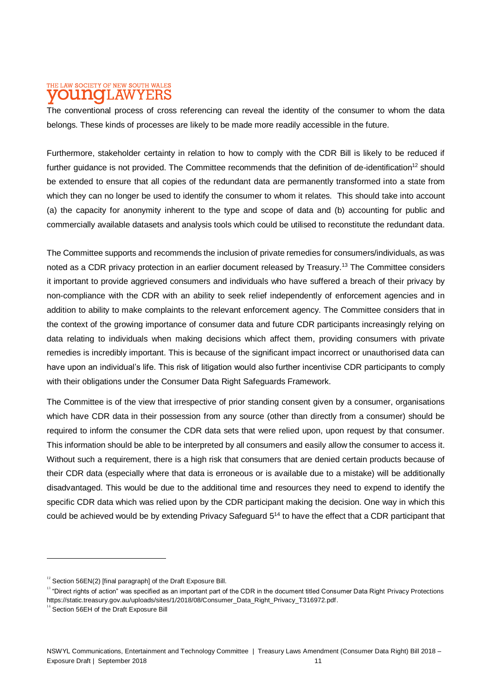#### THE LAW SOCIETY OF NEW SOUTH WALES T.AW ITIAIO YERS

The conventional process of cross referencing can reveal the identity of the consumer to whom the data belongs. These kinds of processes are likely to be made more readily accessible in the future.

Furthermore, stakeholder certainty in relation to how to comply with the CDR Bill is likely to be reduced if further guidance is not provided. The Committee recommends that the definition of de-identification<sup>12</sup> should be extended to ensure that all copies of the redundant data are permanently transformed into a state from which they can no longer be used to identify the consumer to whom it relates. This should take into account (a) the capacity for anonymity inherent to the type and scope of data and (b) accounting for public and commercially available datasets and analysis tools which could be utilised to reconstitute the redundant data.

The Committee supports and recommends the inclusion of private remedies for consumers/individuals, as was noted as a CDR privacy protection in an earlier document released by Treasury.<sup>13</sup> The Committee considers it important to provide aggrieved consumers and individuals who have suffered a breach of their privacy by non-compliance with the CDR with an ability to seek relief independently of enforcement agencies and in addition to ability to make complaints to the relevant enforcement agency. The Committee considers that in the context of the growing importance of consumer data and future CDR participants increasingly relying on data relating to individuals when making decisions which affect them, providing consumers with private remedies is incredibly important. This is because of the significant impact incorrect or unauthorised data can have upon an individual's life. This risk of litigation would also further incentivise CDR participants to comply with their obligations under the Consumer Data Right Safeguards Framework.

The Committee is of the view that irrespective of prior standing consent given by a consumer, organisations which have CDR data in their possession from any source (other than directly from a consumer) should be required to inform the consumer the CDR data sets that were relied upon, upon request by that consumer. This information should be able to be interpreted by all consumers and easily allow the consumer to access it. Without such a requirement, there is a high risk that consumers that are denied certain products because of their CDR data (especially where that data is erroneous or is available due to a mistake) will be additionally disadvantaged. This would be due to the additional time and resources they need to expend to identify the specific CDR data which was relied upon by the CDR participant making the decision. One way in which this could be achieved would be by extending Privacy Safeguard 5<sup>14</sup> to have the effect that a CDR participant that

 $12$  Section 56EN(2) [final paragraph] of the Draft Exposure Bill.

<sup>&</sup>lt;sup>13</sup> "Direct rights of action" was specified as an important part of the CDR in the document titled Consumer Data Right Privacy Protections [https://static.treasury.gov.au/uploads/sites/1/2018/08/Consumer\\_Data\\_Right\\_Privacy\\_T316972.pdf.](https://static.treasury.gov.au/uploads/sites/1/2018/08/Consumer_Data_Right_Privacy_T316972.pdf)

 $14$  Section 56EH of the Draft Exposure Bill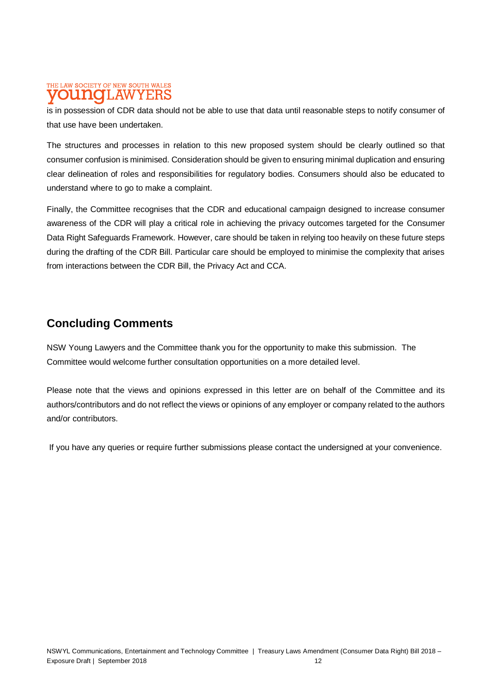### THE LAW SOCIETY OF NEW SOUTH WALES LAWYERS

is in possession of CDR data should not be able to use that data until reasonable steps to notify consumer of that use have been undertaken.

The structures and processes in relation to this new proposed system should be clearly outlined so that consumer confusion is minimised. Consideration should be given to ensuring minimal duplication and ensuring clear delineation of roles and responsibilities for regulatory bodies. Consumers should also be educated to understand where to go to make a complaint.

Finally, the Committee recognises that the CDR and educational campaign designed to increase consumer awareness of the CDR will play a critical role in achieving the privacy outcomes targeted for the Consumer Data Right Safeguards Framework. However, care should be taken in relying too heavily on these future steps during the drafting of the CDR Bill. Particular care should be employed to minimise the complexity that arises from interactions between the CDR Bill, the Privacy Act and CCA.

## **Concluding Comments**

NSW Young Lawyers and the Committee thank you for the opportunity to make this submission. The Committee would welcome further consultation opportunities on a more detailed level.

Please note that the views and opinions expressed in this letter are on behalf of the Committee and its authors/contributors and do not reflect the views or opinions of any employer or company related to the authors and/or contributors.

If you have any queries or require further submissions please contact the undersigned at your convenience.